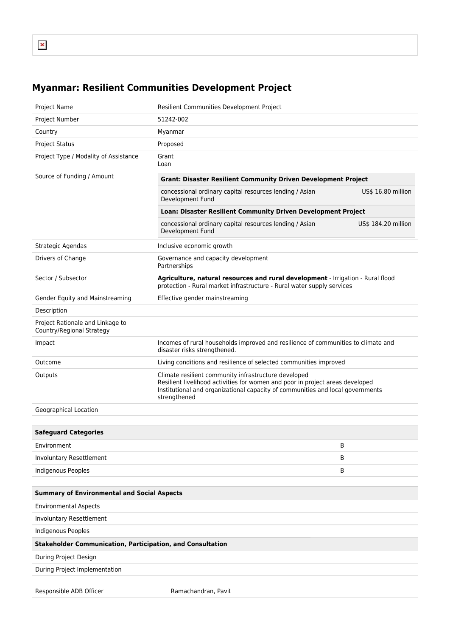## **Myanmar: Resilient Communities Development Project**

| Project Name                                                      | Resilient Communities Development Project                                                                                                                                                                                               |                     |
|-------------------------------------------------------------------|-----------------------------------------------------------------------------------------------------------------------------------------------------------------------------------------------------------------------------------------|---------------------|
| Project Number                                                    | 51242-002                                                                                                                                                                                                                               |                     |
| Country                                                           | Myanmar                                                                                                                                                                                                                                 |                     |
| <b>Project Status</b>                                             | Proposed                                                                                                                                                                                                                                |                     |
| Project Type / Modality of Assistance                             | Grant<br>Loan                                                                                                                                                                                                                           |                     |
| Source of Funding / Amount                                        | <b>Grant: Disaster Resilient Community Driven Development Project</b>                                                                                                                                                                   |                     |
|                                                                   | concessional ordinary capital resources lending / Asian<br>Development Fund                                                                                                                                                             | US\$ 16.80 million  |
|                                                                   | Loan: Disaster Resilient Community Driven Development Project                                                                                                                                                                           |                     |
|                                                                   | concessional ordinary capital resources lending / Asian<br>Development Fund                                                                                                                                                             | US\$ 184.20 million |
| Strategic Agendas                                                 | Inclusive economic growth                                                                                                                                                                                                               |                     |
| Drivers of Change                                                 | Governance and capacity development<br>Partnerships                                                                                                                                                                                     |                     |
| Sector / Subsector                                                | Agriculture, natural resources and rural development - Irrigation - Rural flood<br>protection - Rural market infrastructure - Rural water supply services                                                                               |                     |
| Gender Equity and Mainstreaming                                   | Effective gender mainstreaming                                                                                                                                                                                                          |                     |
| Description                                                       |                                                                                                                                                                                                                                         |                     |
| Project Rationale and Linkage to<br>Country/Regional Strategy     |                                                                                                                                                                                                                                         |                     |
| Impact                                                            | Incomes of rural households improved and resilience of communities to climate and<br>disaster risks strengthened.                                                                                                                       |                     |
| Outcome                                                           | Living conditions and resilience of selected communities improved                                                                                                                                                                       |                     |
| Outputs                                                           | Climate resilient community infrastructure developed<br>Resilient livelihood activities for women and poor in project areas developed<br>Institutional and organizational capacity of communities and local governments<br>strengthened |                     |
| Geographical Location                                             |                                                                                                                                                                                                                                         |                     |
|                                                                   |                                                                                                                                                                                                                                         |                     |
| <b>Safeguard Categories</b>                                       |                                                                                                                                                                                                                                         |                     |
| Environment                                                       |                                                                                                                                                                                                                                         | В                   |
| Involuntary Resettlement                                          |                                                                                                                                                                                                                                         | В                   |
| Indigenous Peoples                                                |                                                                                                                                                                                                                                         | B                   |
|                                                                   |                                                                                                                                                                                                                                         |                     |
| <b>Summary of Environmental and Social Aspects</b>                |                                                                                                                                                                                                                                         |                     |
| <b>Environmental Aspects</b>                                      |                                                                                                                                                                                                                                         |                     |
| Involuntary Resettlement                                          |                                                                                                                                                                                                                                         |                     |
| <b>Indigenous Peoples</b>                                         |                                                                                                                                                                                                                                         |                     |
| <b>Stakeholder Communication, Participation, and Consultation</b> |                                                                                                                                                                                                                                         |                     |
| During Project Design                                             |                                                                                                                                                                                                                                         |                     |
| During Project Implementation                                     |                                                                                                                                                                                                                                         |                     |
| Responsible ADB Officer                                           | Ramachandran, Pavit                                                                                                                                                                                                                     |                     |